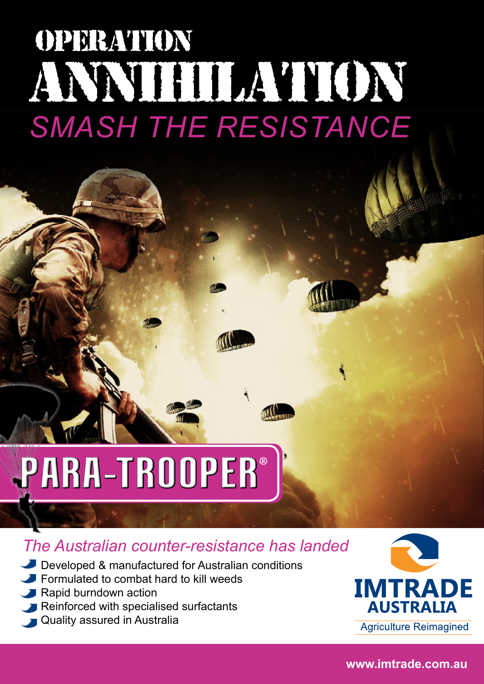## *SMASH THE RESISTANCE* OPERATION ANNIHILATION

### PARA-TROOPER ®

#### *The Australian counter-resistance has landed*

- Developed & manufactured for Australian conditions
- Formulated to combat hard to kill weeds
- Rapid burndown action
- Reinforced with specialised surfactants
- Quality assured in Australia



**Agriculture Reimagined** 

**www.imtrade.com.au**